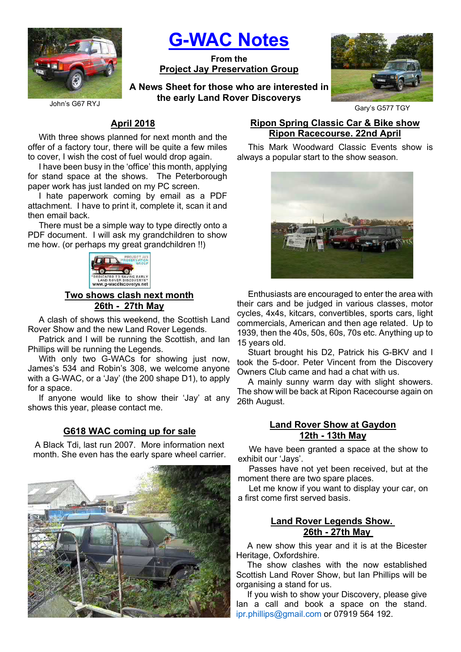

G-WAC Notes

From the Project Jay Preservation Group

A News Sheet for those who are interested in the early Land Rover Discoverys



Gary's G577 TGY

John's G67 RYJ

# April 2018

With three shows planned for next month and the offer of a factory tour, there will be quite a few miles to cover, I wish the cost of fuel would drop again.

I have been busy in the 'office' this month, applying for stand space at the shows. The Peterborough paper work has just landed on my PC screen.

I hate paperwork coming by email as a PDF attachment. I have to print it, complete it, scan it and then email back.

There must be a simple way to type directly onto a PDF document. I will ask my grandchildren to show me how. (or perhaps my great grandchildren !!)



Two shows clash next month 26th - 27th May

A clash of shows this weekend, the Scottish Land Rover Show and the new Land Rover Legends.

Patrick and I will be running the Scottish, and Ian Phillips will be running the Legends.

With only two G-WACs for showing just now, James's 534 and Robin's 308, we welcome anyone with a G-WAC, or a 'Jay' (the 200 shape D1), to apply for a space.

If anyone would like to show their 'Jay' at any shows this year, please contact me.

## G618 WAC coming up for sale

A Black Tdi, last run 2007. More information next month. She even has the early spare wheel carrier.



## Ripon Spring Classic Car & Bike show Ripon Racecourse. 22nd April

This Mark Woodward Classic Events show is always a popular start to the show season.



Enthusiasts are encouraged to enter the area with their cars and be judged in various classes, motor cycles, 4x4s, kitcars, convertibles, sports cars, light commercials, American and then age related. Up to 1939, then the 40s, 50s, 60s, 70s etc. Anything up to 15 years old.

Stuart brought his D2, Patrick his G-BKV and I took the 5-door. Peter Vincent from the Discovery Owners Club came and had a chat with us.

A mainly sunny warm day with slight showers. The show will be back at Ripon Racecourse again on 26th August.

## Land Rover Show at Gaydon 12th - 13th May

We have been granted a space at the show to exhibit our 'Jays'.

Passes have not yet been received, but at the moment there are two spare places.

Let me know if you want to display your car, on a first come first served basis.

## Land Rover Legends Show. 26th - 27th May

A new show this year and it is at the Bicester Heritage, Oxfordshire.

The show clashes with the now established Scottish Land Rover Show, but Ian Phillips will be organising a stand for us.

If you wish to show your Discovery, please give Ian a call and book a space on the stand. ipr.phillips@gmail.com or 07919 564 192.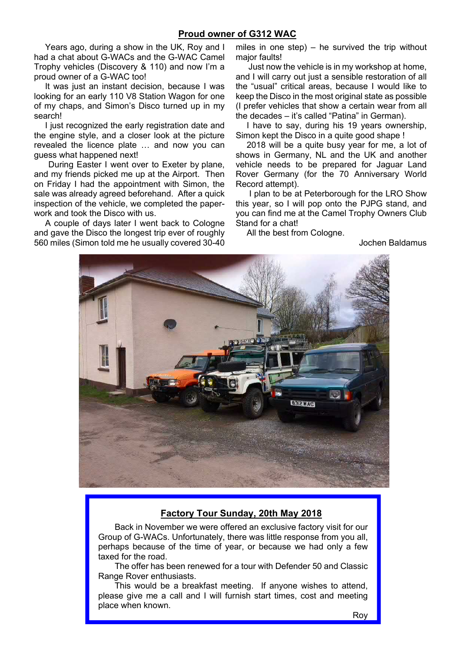#### Proud owner of G312 WAC

Years ago, during a show in the UK, Roy and I had a chat about G-WACs and the G-WAC Camel Trophy vehicles (Discovery & 110) and now I'm a proud owner of a G-WAC too!

It was just an instant decision, because I was looking for an early 110 V8 Station Wagon for one of my chaps, and Simon's Disco turned up in my search!

I just recognized the early registration date and the engine style, and a closer look at the picture revealed the licence plate … and now you can guess what happened next!

 During Easter I went over to Exeter by plane, and my friends picked me up at the Airport. Then on Friday I had the appointment with Simon, the sale was already agreed beforehand. After a quick inspection of the vehicle, we completed the paperwork and took the Disco with us.

A couple of days later I went back to Cologne and gave the Disco the longest trip ever of roughly 560 miles (Simon told me he usually covered 30-40

miles in one step)  $-$  he survived the trip without major faults!

 Just now the vehicle is in my workshop at home, and I will carry out just a sensible restoration of all the "usual" critical areas, because I would like to keep the Disco in the most original state as possible (I prefer vehicles that show a certain wear from all the decades – it's called "Patina" in German).

I have to say, during his 19 years ownership, Simon kept the Disco in a quite good shape !

2018 will be a quite busy year for me, a lot of shows in Germany, NL and the UK and another vehicle needs to be prepared for Jaguar Land Rover Germany (for the 70 Anniversary World Record attempt).

 I plan to be at Peterborough for the LRO Show this year, so I will pop onto the PJPG stand, and you can find me at the Camel Trophy Owners Club Stand for a chat!

All the best from Cologne.

Jochen Baldamus



## Factory Tour Sunday, 20th May 2018

Back in November we were offered an exclusive factory visit for our Group of G-WACs. Unfortunately, there was little response from you all, perhaps because of the time of year, or because we had only a few taxed for the road.

The offer has been renewed for a tour with Defender 50 and Classic Range Rover enthusiasts.

This would be a breakfast meeting. If anyone wishes to attend, please give me a call and I will furnish start times, cost and meeting place when known.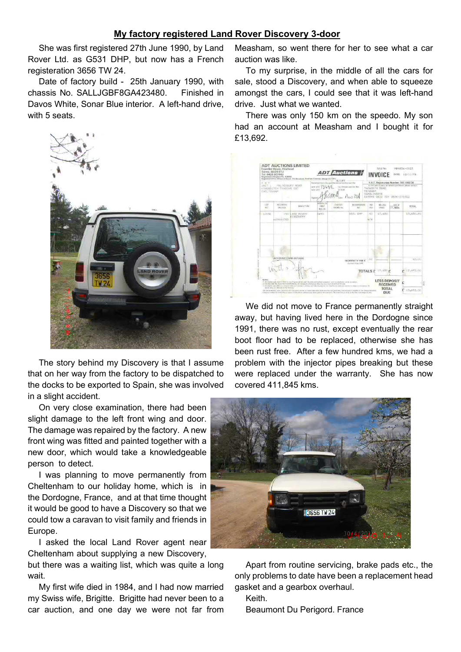#### My factory registered Land Rover Discovery 3-door

She was first registered 27th June 1990, by Land Rover Ltd. as G531 DHP, but now has a French registeration 3656 TW 24.

Date of factory build - 25th January 1990, with chassis No. SALLJGBF8GA423480. Finished in Davos White, Sonar Blue interior. A left-hand drive, with 5 seats.



The story behind my Discovery is that I assume that on her way from the factory to be dispatched to the docks to be exported to Spain, she was involved in a slight accident.

On very close examination, there had been slight damage to the left front wing and door. The damage was repaired by the factory. A new front wing was fitted and painted together with a new door, which would take a knowledgeable person to detect.

I was planning to move permanently from Cheltenham to our holiday home, which is in the Dordogne, France, and at that time thought it would be good to have a Discovery so that we could tow a caravan to visit family and friends in Europe.

I asked the local Land Rover agent near Cheltenham about supplying a new Discovery, but there was a waiting list, which was quite a long wait.

My first wife died in 1984, and I had now married my Swiss wife, Brigitte. Brigitte had never been to a car auction, and one day we were not far from

Measham, so went there for her to see what a car auction was like.

To my surprise, in the middle of all the cars for sale, stood a Discovery, and when able to squeeze amongst the cars, I could see that it was left-hand drive. Just what we wanted.

There was only 150 km on the speedo. My son had an account at Measham and I bought it for £13,692.

| Registered Office: Princent Nouse, The Beadway, Farsham Common, Singah SL2 (PC)<br>香菜下<br>UNIT L<br>MAL YEEDORY ROAD<br>KINGSDITCH TRADING EST<br>CHEC TENNIOR |                      |                             | <b>RECEPT</b><br>Received from the partitions careed hereon the<br>by chease and/or they<br>am of £<br>nem of f<br>In now<br>$A0$ $A0$<br>Signo |                      |                                             | V.A.T. Registration Number 188 1552 38<br>in the case of going on vehicles parchased, please contact:<br>TANWORTH SGAD<br>HEASHAM<br>SWADL INCOTE<br>DERRYS DE12 TOY 0830-270322 |                   |            |                 |           |
|----------------------------------------------------------------------------------------------------------------------------------------------------------------|----------------------|-----------------------------|-------------------------------------------------------------------------------------------------------------------------------------------------|----------------------|---------------------------------------------|----------------------------------------------------------------------------------------------------------------------------------------------------------------------------------|-------------------|------------|-----------------|-----------|
| 107<br><b>BIO</b>                                                                                                                                              | RECORDED.<br>MIS ASE | MAKE/TYPE                   | <b>NONTH YN</b><br><b>FIRST</b><br>NESS ENC                                                                                                     | CHASSIS<br>TRONG for | REGISTRATION<br>Yen:                        | $z$ rr                                                                                                                                                                           | IND<br>PRKIE      | \$13,1,945 | VAT @<br>17.90% | TOTAL     |
| UJ051                                                                                                                                                          | <b>WORPHONTED</b>    | 150 LAND ROVER<br>DISCOVERY | 0695                                                                                                                                            |                      | 3531 DHP                                    | 42<br><b>W</b> Field                                                                                                                                                             |                   | 13.650     |                 | 13,650,00 |
|                                                                                                                                                                |                      |                             |                                                                                                                                                 |                      |                                             |                                                                                                                                                                                  |                   |            |                 |           |
|                                                                                                                                                                |                      |                             |                                                                                                                                                 |                      |                                             |                                                                                                                                                                                  |                   |            |                 |           |
|                                                                                                                                                                |                      |                             |                                                                                                                                                 |                      |                                             |                                                                                                                                                                                  |                   |            |                 |           |
|                                                                                                                                                                | ACCOUNT CARD DETAILS |                             |                                                                                                                                                 |                      | INDENINITY FEE E<br><b>Raymer From MATI</b> | 再認                                                                                                                                                                               |                   |            |                 | 92,00     |
|                                                                                                                                                                |                      |                             |                                                                                                                                                 |                      |                                             |                                                                                                                                                                                  | TOTALS £ 13,650 £ |            |                 |           |

We did not move to France permanently straight away, but having lived here in the Dordogne since 1991, there was no rust, except eventually the rear boot floor had to be replaced, otherwise she has been rust free. After a few hundred kms, we had a problem with the injector pipes breaking but these were replaced under the warranty. She has now covered 411,845 kms.



Apart from routine servicing, brake pads etc., the only problems to date have been a replacement head gasket and a gearbox overhaul.

Keith.

Beaumont Du Perigord. France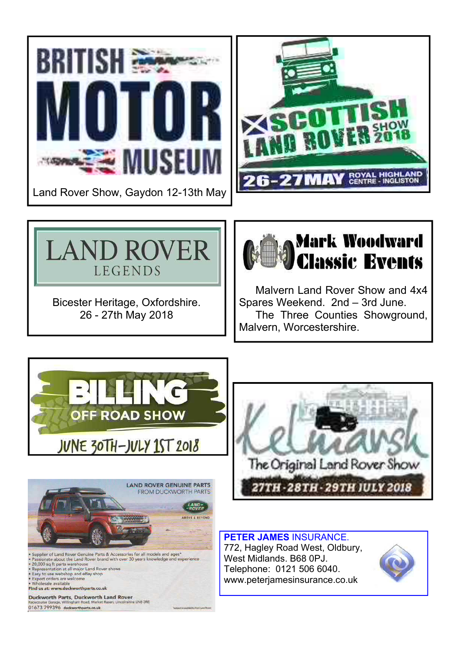



Bicester Heritage, Oxfordshire. 26 - 27th May 2018



Malvern Land Rover Show and 4x4 Spares Weekend. 2nd – 3rd June. The Three Counties Showground, Malvern, Worcestershire.







PETER JAMES INSURANCE. 772, Hagley Road West, Oldbury, West Midlands. B68 0PJ. Telephone: 0121 506 6040. www.peterjamesinsurance.co.uk